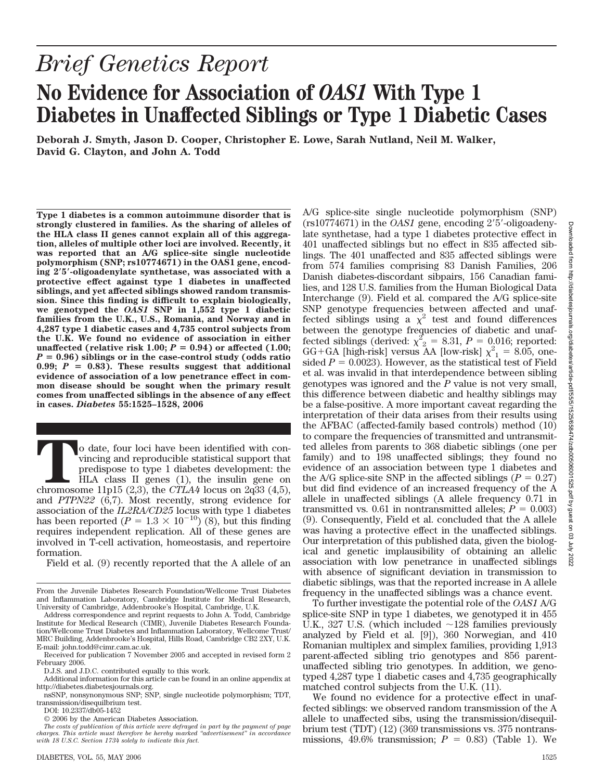## *Brief Genetics Report* **No Evidence for Association of** *OAS1* **With Type 1 Diabetes in Unaffected Siblings or Type 1 Diabetic Cases**

**Deborah J. Smyth, Jason D. Cooper, Christopher E. Lowe, Sarah Nutland, Neil M. Walker, David G. Clayton, and John A. Todd**

**Type 1 diabetes is a common autoimmune disorder that is strongly clustered in families. As the sharing of alleles of the HLA class II genes cannot explain all of this aggregation, alleles of multiple other loci are involved. Recently, it was reported that an A/G splice-site single nucleotide polymorphism (SNP; rs10774671) in the OAS1 gene, encoding 25-oligoadenylate synthetase, was associated with a protective effect against type 1 diabetes in unaffected siblings, and yet affected siblings showed random transmission. Since this finding is difficult to explain biologically, we genotyped the** *OAS1* **SNP in 1,552 type 1 diabetic families from the U.K., U.S., Romania, and Norway and in 4,287 type 1 diabetic cases and 4,735 control subjects from the U.K. We found no evidence of association in either** unaffected (relative risk  $1.00; P = 0.94$ ) or affected  $(1.00;$  $P = 0.96$ ) siblings or in the case-control study (odds ratio 0.99;  $P = 0.83$ ). These results suggest that additional **evidence of association of a low penetrance effect in common disease should be sought when the primary result comes from unaffected siblings in the absence of any effect in cases.** *Diabetes* **55:1525–1528, 2006**

**T**o date, four loci have been identified with convincing and reproducible statistical support that predispose to type 1 diabetes development: the HLA class II genes (1), the insulin gene on chromosome 11p15 (2,3), the *CT* vincing and reproducible statistical support that predispose to type 1 diabetes development: the HLA class II genes (1), the insulin gene on and *PTPN22* (6,7). Most recently, strong evidence for association of the *IL2RA/CD25* locus with type 1 diabetes has been reported ( $P = 1.3 \times 10^{-10}$ ) (8), but this finding requires independent replication. All of these genes are involved in T-cell activation, homeostasis, and repertoire formation.

Field et al. (9) recently reported that the A allele of an

DOI: 10.2337/db05-1452

A/G splice-site single nucleotide polymorphism (SNP)  $(rs10774671)$  in the *OAS1* gene, encoding 2'5'-oligoadenylate synthetase, had a type 1 diabetes protective effect in 401 unaffected siblings but no effect in 835 affected siblings. The 401 unaffected and 835 affected siblings were from 574 families comprising 83 Danish Families, 206 Danish diabetes-discordant sibpairs, 156 Canadian families, and 128 U.S. families from the Human Biological Data Interchange (9). Field et al. compared the A/G splice-site SNP genotype frequencies between affected and unaffected siblings using a  $\chi^2$  test and found differences between the genotype frequencies of diabetic and unaffected siblings (derived:  $\chi^2$ <sub>2</sub> = 8.31, *P* = 0.016; reported: GG+GA [high-risk] versus AA [low-risk]  $\chi^2_{1} = 8.05$ , onesided  $P = 0.0023$ ). However, as the statistical test of Field et al. was invalid in that interdependence between sibling genotypes was ignored and the *P* value is not very small, this difference between diabetic and healthy siblings may be a false-positive. A more important caveat regarding the interpretation of their data arises from their results using the AFBAC (affected-family based controls) method (10) to compare the frequencies of transmitted and untransmitted alleles from parents to 368 diabetic siblings (one per family) and to 198 unaffected siblings; they found no evidence of an association between type 1 diabetes and the A/G splice-site SNP in the affected siblings  $(P = 0.27)$ but did find evidence of an increased frequency of the A allele in unaffected siblings (A allele frequency 0.71 in transmitted vs. 0.61 in nontransmitted alleles;  $P = 0.003$ ) (9). Consequently, Field et al. concluded that the A allele was having a protective effect in the unaffected siblings. Our interpretation of this published data, given the biological and genetic implausibility of obtaining an allelic association with low penetrance in unaffected siblings with absence of significant deviation in transmission to diabetic siblings, was that the reported increase in A allele frequency in the unaffected siblings was a chance event.

To further investigate the potential role of the *OAS1* A/G splice-site SNP in type 1 diabetes, we genotyped it in 455 U.K., 327 U.S. (which included  $\sim$ 128 families previously analyzed by Field et al. [9]), 360 Norwegian, and 410 Romanian multiplex and simplex families, providing 1,913 parent-affected sibling trio genotypes and 856 parentunaffected sibling trio genotypes. In addition, we genotyped 4,287 type 1 diabetic cases and 4,735 geographically matched control subjects from the U.K. (11).

We found no evidence for a protective effect in unaffected siblings: we observed random transmission of the A allele to unaffected sibs, using the transmission/disequilbrium test (TDT) (12) (369 transmissions vs. 375 nontransmissions,  $49.6\%$  transmission;  $P = 0.83$ ) (Table 1). We

From the Juvenile Diabetes Research Foundation/Wellcome Trust Diabetes and Inflammation Laboratory, Cambridge Institute for Medical Research, University of Cambridge, Addenbrooke's Hospital, Cambridge, U.K.

Address correspondence and reprint requests to John A. Todd, Cambridge Institute for Medical Research (CIMR), Juvenile Diabetes Research Foundation/Wellcome Trust Diabetes and Inflammation Laboratory, Wellcome Trust/ MRC Building, Addenbrooke's Hospital, Hills Road, Cambridge CB2 2XY, U.K. E-mail: john.todd@cimr.cam.ac.uk.

Received for publication 7 November 2005 and accepted in revised form 2 February 2006.

D.J.S. and J.D.C. contributed equally to this work.

Additional information for this article can be found in an online appendix at http://diabetes.diabetesjournals.org.

nsSNP, nonsynonymous SNP; SNP, single nucleotide polymorphism; TDT, transmission/disequilbrium test.

<sup>© 2006</sup> by the American Diabetes Association.

*The costs of publication of this article were defrayed in part by the payment of page charges. This article must therefore be hereby marked "advertisement" in accordance with 18 U.S.C. Section 1734 solely to indicate this fact.*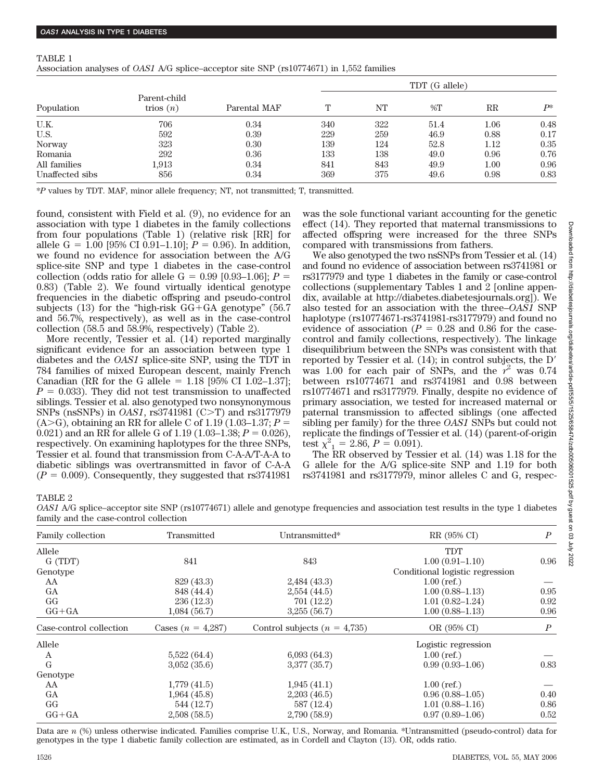TABLE 1

| Association analyses of <i>OAS1</i> A/G splice–acceptor site SNP (rs10774671) in 1,552 families |
|-------------------------------------------------------------------------------------------------|
|-------------------------------------------------------------------------------------------------|

|                 | Parent-child<br>trios $(n)$ | Parental MAF | TDT (G allele) |     |       |             |              |
|-----------------|-----------------------------|--------------|----------------|-----|-------|-------------|--------------|
| Population      |                             |              | T              | NT  | $\%T$ | $_{\rm RR}$ | $\mathbf{p}$ |
| U.K.            | 706                         | 0.34         | 340            | 322 | 51.4  | $1.06\,$    | 0.48         |
| U.S.            | 592                         | 0.39         | 229            | 259 | 46.9  | 0.88        | 0.17         |
| Norway          | 323                         | 0.30         | 139            | 124 | 52.8  | 1.12        | 0.35         |
| Romania         | 292                         | 0.36         | 133            | 138 | 49.0  | 0.96        | 0.76         |
| All families    | 1.913                       | 0.34         | 841            | 843 | 49.9  | $1.00\,$    | 0.96         |
| Unaffected sibs | 856                         | 0.34         | 369            | 375 | 49.6  | 0.98        | 0.83         |

\**P* values by TDT. MAF, minor allele frequency; NT, not transmitted; T, transmitted.

found, consistent with Field et al. (9), no evidence for an association with type 1 diabetes in the family collections from four populations (Table 1) (relative risk [RR] for allele G = 1.00 [95% CI 0.91–1.10];  $P = 0.96$ ). In addition, we found no evidence for association between the A/G splice-site SNP and type 1 diabetes in the case-control collection (odds ratio for allele  $G = 0.99$  [0.93–1.06];  $P =$ 0.83) (Table 2). We found virtually identical genotype frequencies in the diabetic offspring and pseudo-control subjects (13) for the "high-risk  $GG + GA$  genotype" (56.7) and 56.7%, respectively), as well as in the case-control collection (58.5 and 58.9%, respectively) (Table 2).

More recently, Tessier et al. (14) reported marginally significant evidence for an association between type 1 diabetes and the *OAS1* splice-site SNP, using the TDT in 784 families of mixed European descent, mainly French Canadian (RR for the G allele =  $1.18$  [95% CI 1.02–1.37];  $P = 0.033$ . They did not test transmission to unaffected siblings. Tessier et al. also genotyped two nonsynonymous SNPs (nsSNPs) in *OAS1*, rs3741981 (C>T) and rs3177979 (A>G), obtaining an RR for allele C of 1.19 (1.03–1.37;  $P =$ 0.021) and an RR for allele G of 1.19  $(1.03-1.38; P = 0.026)$ , respectively. On examining haplotypes for the three SNPs, Tessier et al. found that transmission from C-A-A/T-A-A to diabetic siblings was overtransmitted in favor of C-A-A  $(P = 0.009)$ . Consequently, they suggested that rs3741981

was the sole functional variant accounting for the genetic effect (14). They reported that maternal transmissions to affected offspring were increased for the three SNPs compared with transmissions from fathers.

We also genotyped the two nsSNPs from Tessier et al. (14) and found no evidence of association between rs3741981 or rs3177979 and type 1 diabetes in the family or case-control collections (supplementary Tables 1 and 2 [online appendix, available at http://diabetes.diabetesjournals.org]). We also tested for an association with the three–*OAS1* SNP haplotype (rs10774671-rs3741981-rs3177979) and found no evidence of association ( $P = 0.28$  and 0.86 for the casecontrol and family collections, respectively). The linkage disequilibrium between the SNPs was consistent with that reported by Tessier et al. (14); in control subjects, the D was 1.00 for each pair of SNPs, and the  $r^2$  was 0.74 between rs10774671 and rs3741981 and 0.98 between rs10774671 and rs3177979. Finally, despite no evidence of primary association, we tested for increased maternal or paternal transmission to affected siblings (one affected sibling per family) for the three *OAS1* SNPs but could not replicate the findings of Tessier et al. (14) (parent-of-origin test  $\chi^2_{1} = 2.86, P = 0.091$ .

The RR observed by Tessier et al. (14) was 1.18 for the G allele for the A/G splice-site SNP and 1.19 for both rs3741981 and rs3177979, minor alleles C and G, respec-

TABLE 2

*OAS1* A/G splice–acceptor site SNP (rs10774671) allele and genotype frequencies and association test results in the type 1 diabetes family and the case-control collection

| Family collection       | Transmitted         | Untransmitted*                   | RR (95% CI)                     | $\boldsymbol{P}$ |  |
|-------------------------|---------------------|----------------------------------|---------------------------------|------------------|--|
| Allele                  |                     |                                  | <b>TDT</b>                      |                  |  |
| G (TDT)                 | 841                 | 843                              | $1.00(0.91 - 1.10)$             | 0.96             |  |
| Genotype                |                     |                                  | Conditional logistic regression |                  |  |
| AA                      | 829 (43.3)          | 2,484(43.3)                      | $1.00$ (ref.)                   |                  |  |
| GA                      | 848 (44.4)          | 2,554(44.5)                      | $1.00(0.88 - 1.13)$             | 0.95             |  |
| GG                      | 236(12.3)           | 701 (12.2)                       | $1.01(0.82 - 1.24)$             | 0.92             |  |
| $GG + GA$               | 1,084(56.7)         | 3,255(56.7)                      | $1.00(0.88 - 1.13)$             | 0.96             |  |
| Case-control collection | Cases $(n = 4,287)$ | Control subjects ( $n = 4,735$ ) | OR (95% CI)                     | $\boldsymbol{P}$ |  |
| Allele                  |                     |                                  | Logistic regression             |                  |  |
| A                       | 5,522(64.4)         | 6,093(64.3)                      | $1.00$ (ref.)                   |                  |  |
| G                       | 3,052(35.6)         | 3,377(35.7)                      | $0.99(0.93 - 1.06)$             | 0.83             |  |
| Genotype                |                     |                                  |                                 |                  |  |
| AA                      | 1,779(41.5)         | 1,945(41.1)                      | $1.00$ (ref.)                   |                  |  |
| GA                      | 1,964(45.8)         | 2,203(46.5)                      | $0.96(0.88-1.05)$               | 0.40             |  |
| GG                      | 544 (12.7)          | 587 (12.4)                       | $1.01(0.88 - 1.16)$             | 0.86             |  |
| $GG + GA$               | 2,508(58.5)         | 2,790 (58.9)                     | $0.97(0.89 - 1.06)$             | 0.52             |  |
|                         |                     |                                  |                                 |                  |  |

Data are *n* (%) unless otherwise indicated. Families comprise U.K., U.S., Norway, and Romania. \*Untransmitted (pseudo-control) data for genotypes in the type 1 diabetic family collection are estimated, as in Cordell and Clayton (13). OR, odds ratio.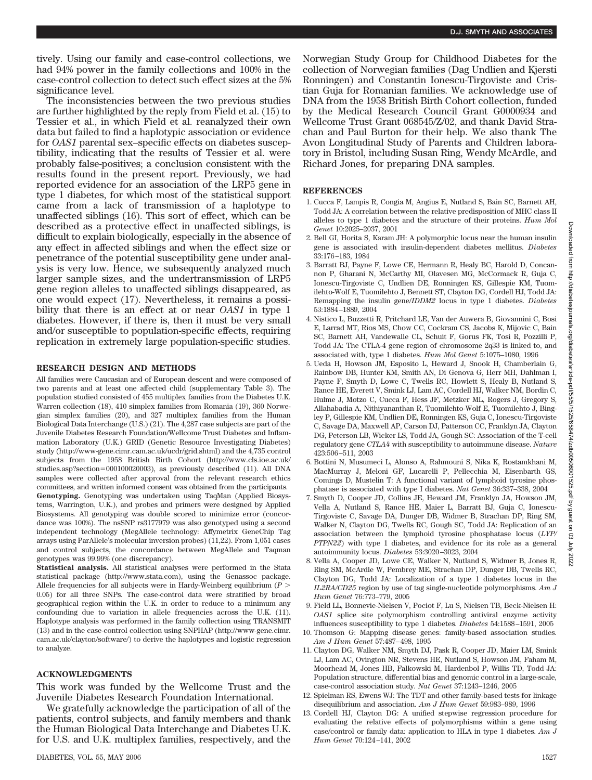tively. Using our family and case-control collections, we had 94% power in the family collections and 100% in the case-control collection to detect such effect sizes at the 5% significance level.

The inconsistencies between the two previous studies are further highlighted by the reply from Field et al. (15) to Tessier et al., in which Field et al. reanalyzed their own data but failed to find a haplotypic association or evidence for *OAS1* parental sex–specific effects on diabetes susceptibility, indicating that the results of Tessier et al. were probably false-positives; a conclusion consistent with the results found in the present report. Previously, we had reported evidence for an association of the LRP5 gene in type 1 diabetes, for which most of the statistical support came from a lack of transmission of a haplotype to unaffected siblings (16). This sort of effect, which can be described as a protective effect in unaffected siblings, is difficult to explain biologically, especially in the absence of any effect in affected siblings and when the effect size or penetrance of the potential susceptibility gene under analysis is very low. Hence, we subsequently analyzed much larger sample sizes, and the undertransmission of LRP5 gene region alleles to unaffected siblings disappeared, as one would expect (17). Nevertheless, it remains a possibility that there is an effect at or near *OAS1* in type 1 diabetes. However, if there is, then it must be very small and/or susceptible to population-specific effects, requiring replication in extremely large population-specific studies.

## **RESEARCH DESIGN AND METHODS**

All families were Caucasian and of European descent and were composed of two parents and at least one affected child (supplementary Table 3). The population studied consisted of 455 multiplex families from the Diabetes U.K. Warren collection (18), 410 simplex families from Romania (19), 360 Norwegian simplex families (20), and 327 multiplex families from the Human Biological Data Interchange (U.S.) (21). The 4,287 case subjects are part of the Juvenile Diabetes Research Foundation/Wellcome Trust Diabetes and Inflammation Laboratory (U.K.) GRID (Genetic Resource Investigating Diabetes) study (http://www-gene.cimr.cam.ac.uk/ucdr/grid.shtml) and the 4,735 control subjects from the 1958 British Birth Cohort (http://www.cls.ioe.ac.uk/ studies.asp?section=000100020003), as previously described (11). All DNA samples were collected after approval from the relevant research ethics committees, and written informed consent was obtained from the participants. **Genotyping.** Genotyping was undertaken using TaqMan (Applied Biosystems, Warrington, U.K.), and probes and primers were designed by Applied Biosystems. All genotyping was double scored to minimize error (concordance was 100%). The nsSNP rs3177979 was also genotyped using a second independent technology (MegAllele technology: Affymetrix GeneChip Tag arrays using ParAllele's molecular inversion probes) (11,22). From 1,051 cases and control subjects, the concordance between MegAllele and Taqman genotypes was 99.99% (one discrepancy).

**Statistical analysis.** All statistical analyses were performed in the Stata statistical package (http://www.stata.com), using the Genassoc package. Allele frequencies for all subjects were in Hardy-Weinberg equilibrium (*P* 0.05) for all three SNPs. The case-control data were stratified by broad geographical region within the U.K. in order to reduce to a minimum any confounding due to variation in allele frequencies across the U.K. (11). Haplotype analysis was performed in the family collection using TRANSMIT (13) and in the case-control collection using SNPHAP (http://www-gene.cimr. cam.ac.uk/clayton/software/) to derive the haplotypes and logistic regression to analyze.

## **ACKNOWLEDGMENTS**

This work was funded by the Wellcome Trust and the Juvenile Diabetes Research Foundation International.

We gratefully acknowledge the participation of all of the patients, control subjects, and family members and thank the Human Biological Data Interchange and Diabetes U.K. for U.S. and U.K. multiplex families, respectively, and the

Norwegian Study Group for Childhood Diabetes for the collection of Norwegian families (Dag Undlien and Kjersti Ronningen) and Constantin Ionescu-Tirgoviste and Cristian Guja for Romanian families. We acknowledge use of DNA from the 1958 British Birth Cohort collection, funded by the Medical Research Council Grant G0000934 and Wellcome Trust Grant 068545/Z/02, and thank David Strachan and Paul Burton for their help. We also thank The Avon Longitudinal Study of Parents and Children laboratory in Bristol, including Susan Ring, Wendy McArdle, and Richard Jones, for preparing DNA samples.

## **REFERENCES**

- 1. Cucca F, Lampis R, Congia M, Angius E, Nutland S, Bain SC, Barnett AH, Todd JA: A correlation between the relative predisposition of MHC class II alleles to type 1 diabetes and the structure of their proteins. *Hum Mol Genet* 10:2025–2037, 2001
- 2. Bell GI, Horita S, Karam JH: A polymorphic locus near the human insulin gene is associated with insulin-dependent diabetes mellitus. *Diabetes* 33:176 –183, 1984
- 3. Barratt BJ, Payne F, Lowe CE, Hermann R, Healy BC, Harold D, Concannon P, Gharani N, McCarthy MI, Olavesen MG, McCormack R, Guja C, Ionescu-Tirgoviste C, Undlien DE, Ronningen KS, Gillespie KM, Tuomilehto-Wolf E, Tuomilehto J, Bennett ST, Clayton DG, Cordell HJ, Todd JA: Remapping the insulin gene/*IDDM2* locus in type 1 diabetes. *Diabetes* 53:1884 –1889, 2004
- 4. Nistico L, Buzzetti R, Pritchard LE, Van der Auwera B, Giovannini C, Bosi E, Larrad MT, Rios MS, Chow CC, Cockram CS, Jacobs K, Mijovic C, Bain SC, Barnett AH, Vandewalle CL, Schuit F, Gorus FK, Tosi R, Pozzilli P, Todd JA: The CTLA-4 gene region of chromosome 2q33 is linked to, and associated with, type 1 diabetes. *Hum Mol Genet* 5:1075–1080, 1996
- 5. Ueda H, Howson JM, Esposito L, Heward J, Snook H, Chamberlain G, Rainbow DB, Hunter KM, Smith AN, Di Genova G, Herr MH, Dahlman I, Payne F, Smyth D, Lowe C, Twells RC, Howlett S, Healy B, Nutland S, Rance HE, Everett V, Smink LJ, Lam AC, Cordell HJ, Walker NM, Bordin C, Hulme J, Motzo C, Cucca F, Hess JF, Metzker ML, Rogers J, Gregory S, Allahabadia A, Nithiyananthan R, Tuomilehto-Wolf E, Tuomilehto J, Bingley P, Gillespie KM, Undlien DE, Ronningen KS, Guja C, Ionescu-Tirgoviste C, Savage DA, Maxwell AP, Carson DJ, Patterson CC, Franklyn JA, Clayton DG, Peterson LB, Wicker LS, Todd JA, Gough SC: Association of the T-cell regulatory gene *CTLA4* with susceptibility to autoimmune disease. *Nature* 423:506 –511, 2003
- 6. Bottini N, Musumeci L, Alonso A, Rahmouni S, Nika K, Rostamkhani M, MacMurray J, Meloni GF, Lucarelli P, Pellecchia M, Eisenbarth GS, Comings D, Mustelin T: A functional variant of lymphoid tyrosine phosphatase is associated with type I diabetes. *Nat Genet* 36:337–338, 2004
- 7. Smyth D, Cooper JD, Collins JE, Heward JM, Franklyn JA, Howson JM, Vella A, Nutland S, Rance HE, Maier L, Barratt BJ, Guja C, Ionescu-Tirgoviste C, Savage DA, Dunger DB, Widmer B, Strachan DP, Ring SM, Walker N, Clayton DG, Twells RC, Gough SC, Todd JA: Replication of an association between the lymphoid tyrosine phosphatase locus (*LYP/ PTPN22*) with type 1 diabetes, and evidence for its role as a general autoimmunity locus. *Diabetes* 53:3020 –3023, 2004
- 8. Vella A, Cooper JD, Lowe CE, Walker N, Nutland S, Widmer B, Jones R, Ring SM, McArdle W, Pembrey ME, Strachan DP, Dunger DB, Twells RC, Clayton DG, Todd JA: Localization of a type 1 diabetes locus in the *IL2RA/CD25* region by use of tag single-nucleotide polymorphisms. *Am J Hum Genet* 76:773–779, 2005
- 9. Field LL, Bonnevie-Nielsen V, Pociot F, Lu S, Nielsen TB, Beck-Nielsen H: *OAS1* splice site polymorphism controlling antiviral enzyme activity influences susceptibility to type 1 diabetes. *Diabetes* 54:1588 –1591, 2005
- 10. Thomson G: Mapping disease genes: family-based association studies. *Am J Hum Genet* 57:487– 498, 1995
- 11. Clayton DG, Walker NM, Smyth DJ, Pask R, Cooper JD, Maier LM, Smink LJ, Lam AC, Ovington NR, Stevens HE, Nutland S, Howson JM, Faham M, Moorhead M, Jones HB, Falkowski M, Hardenbol P, Willis TD, Todd JA: Population structure, differential bias and genomic control in a large-scale, case-control association study. *Nat Genet* 37:1243–1246, 2005
- 12. Spielman RS, Ewens WJ: The TDT and other family-based tests for linkage disequilibrium and association. *Am J Hum Genet* 59:983–989, 1996
- 13. Cordell HJ, Clayton DG: A unified stepwise regression procedure for evaluating the relative effects of polymorphisms within a gene using case/control or family data: application to HLA in type 1 diabetes. *Am J Hum Genet* 70:124 –141, 2002